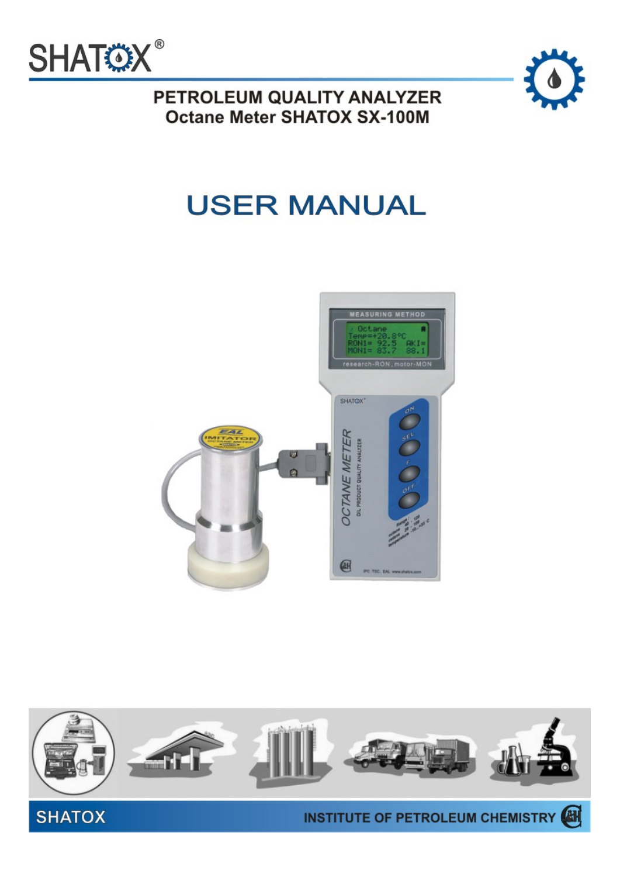



PETROLEUM QUALITY ANALYZER **Octane Meter SHATOX SX-100M** 

# **USER MANUAL**



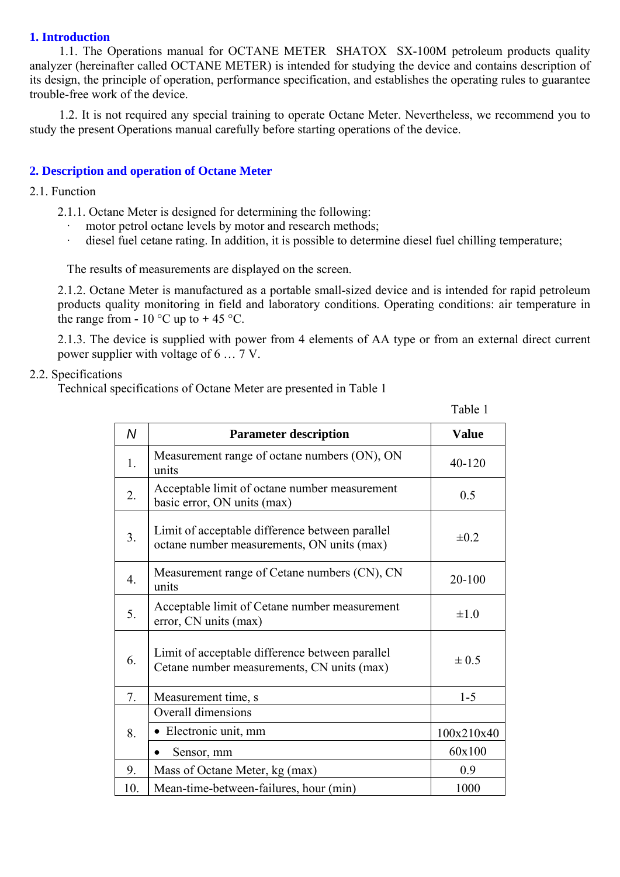# **1. Introduction**

1.1. The Operations manual for OCTANE METER SHATOX SX-100M petroleum products quality analyzer (hereinafter called OCTANE METER) is intended for studying the device and contains description of its design, the principle of operation, performance specification, and establishes the operating rules to guarantee trouble-free work of the device.

1.2. It is not required any special training to operate Octane Meter. Nevertheless, we recommend you to study the present Operations manual carefully before starting operations of the device.

#### **2. Description and operation of Octane Meter**

- 2.1. Function
	- 2.1.1. Octane Meter is designed for determining the following:
		- motor petrol octane levels by motor and research methods;<br>• diesel fuel cetane rating. In addition, it is possible to determ
		- diesel fuel cetane rating. In addition, it is possible to determine diesel fuel chilling temperature;

The results of measurements are displayed on the screen.

2.1.2. Octane Meter is manufactured as a portable small-sized device and is intended for rapid petroleum products quality monitoring in field and laboratory conditions. Operating conditions: air temperature in the range from  $\text{-} 10 \degree \text{C}$  up to  $\text{+} 45 \degree \text{C}$ .

2.1.3. The device is supplied with power from 4 elements of АА type or from an external direct current power supplier with voltage of 6 … 7 V.

## 2.2. Specifications

Technical specifications of Octane Meter are presented in Table 1

|  | Table 1 |
|--|---------|
|--|---------|

| N                | <b>Parameter description</b>                                                                  | <b>Value</b> |
|------------------|-----------------------------------------------------------------------------------------------|--------------|
| 1.               | Measurement range of octane numbers (ON), ON<br>units                                         | 40-120       |
| 2.               | Acceptable limit of octane number measurement<br>basic error, ON units (max)                  | 0.5          |
| 3.               | Limit of acceptable difference between parallel<br>octane number measurements, ON units (max) | $\pm 0.2$    |
| $\overline{4}$ . | Measurement range of Cetane numbers (CN), CN<br>units                                         | 20-100       |
| 5.               | Acceptable limit of Cetane number measurement<br>error, CN units (max)                        | $\pm 1.0$    |
| 6.               | Limit of acceptable difference between parallel<br>Cetane number measurements, CN units (max) | $\pm 0.5$    |
| 7.               | Measurement time, s                                                                           | $1-5$        |
|                  | Overall dimensions                                                                            |              |
| 8.               | Electronic unit, mm                                                                           | 100x210x40   |
|                  | Sensor, mm                                                                                    | 60x100       |
| 9.               | Mass of Octane Meter, kg (max)                                                                | 0.9          |
| 10.              | Mean-time-between-failures, hour (min)                                                        | 1000         |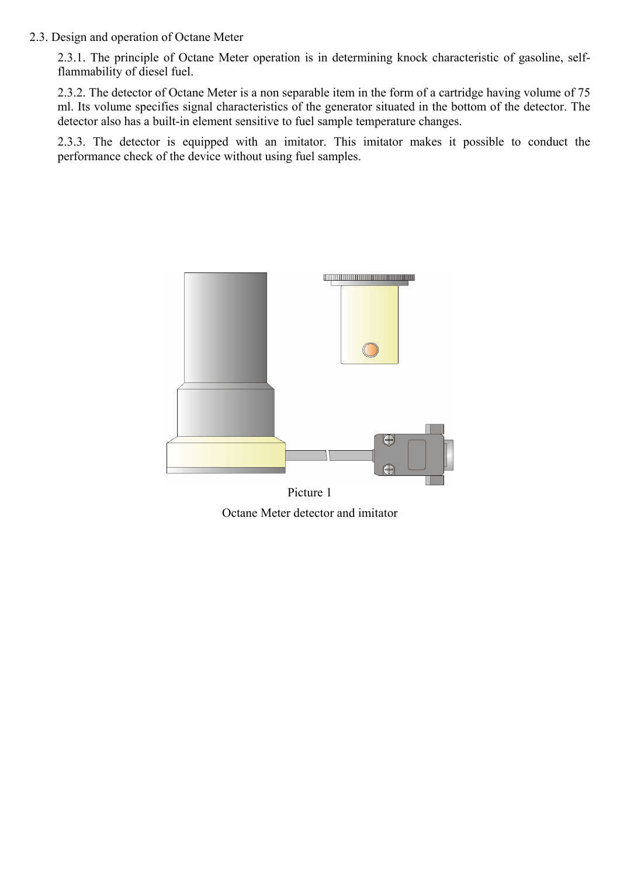## 2.3. Design and operation of Octane Meter

2.3.1. The principle of Octane Meter operation is in determining knock characteristic of gasoline, selfflammability of diesel fuel.

2.3.2. The detector of Octane Meter is a non separable item in the form of a cartridge having volume of 75 ml. Its volume specifies signal characteristics of the generator situated in the bottom of the detector. The detector also has a built-in element sensitive to fuel sample temperature changes.

2.3.3. The detector is equipped with an imitator. This imitator makes it possible to conduct the performance check of the device without using fuel samples.



Picture 1 Octane Meter detector and imitator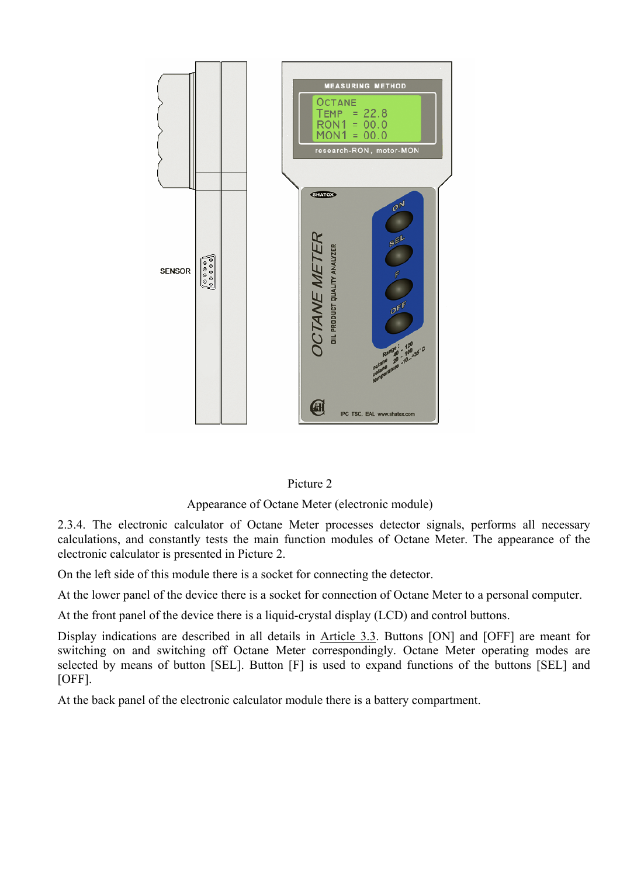

# Picture 2

## Appearance of Octane Meter (electronic module)

2.3.4. The electronic calculator of Octane Meter processes detector signals, performs all necessary calculations, and constantly tests the main function modules of Octane Meter. The appearance of the electronic calculator is presented in Picture 2.

On the left side of this module there is a socket for connecting the detector.

At the lower panel of the device there is a socket for connection of Octane Meter to a personal computer.

At the front panel of the device there is a liquid-crystal display (LCD) and control buttons.

Display indications are described in all details in Article 3.3. Buttons [ON] and [OFF] are meant for switching on and switching off Octane Meter correspondingly. Octane Meter operating modes are selected by means of button [SEL]. Button [F] is used to expand functions of the buttons [SEL] and  $[OFF]$ .

At the back panel of the electronic calculator module there is a battery compartment.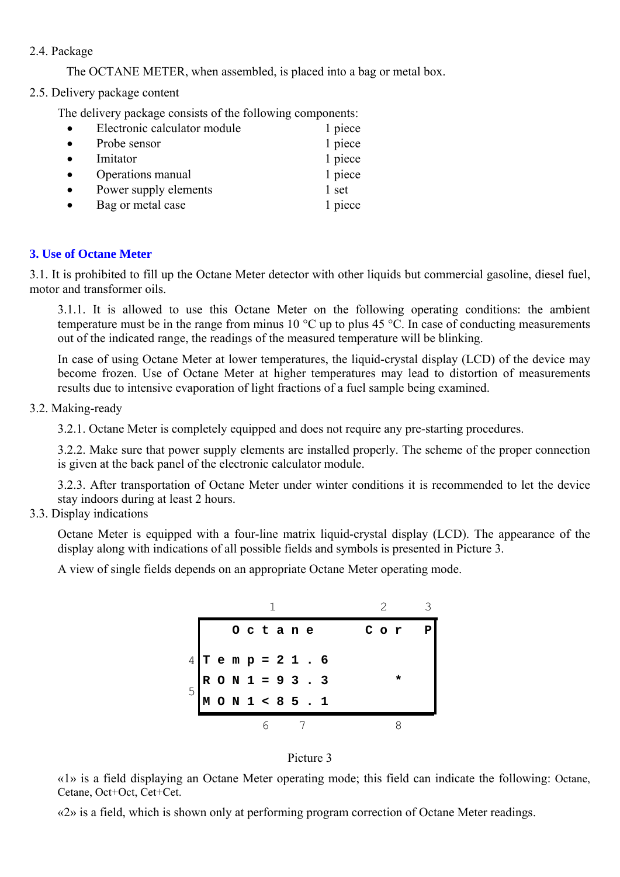# 2.4. Package

The OCTANE METER, when assembled, is placed into a bag or metal box.

2.5. Delivery package content

The delivery package consists of the following components:

| Electronic calculator module | 1 piece |
|------------------------------|---------|
| Probe sensor                 | 1 piece |
| Imitator                     | 1 piece |
| Operations manual            | 1 piece |
| Power supply elements        | 1 set   |
| Bag or metal case            | 1 piece |

# **3. Use of Octane Meter**

3.1. It is prohibited to fill up the Octane Meter detector with other liquids but commercial gasoline, diesel fuel, motor and transformer oils.

3.1.1. It is allowed to use this Octane Meter on the following operating conditions: the ambient temperature must be in the range from minus 10 °С up to plus 45 °С. In case of conducting measurements out of the indicated range, the readings of the measured temperature will be blinking.

In case of using Octane Meter at lower temperatures, the liquid-crystal display (LCD) of the device may become frozen. Use of Octane Meter at higher temperatures may lead to distortion of measurements results due to intensive evaporation of light fractions of a fuel sample being examined.

# 3.2. Making-ready

3.2.1. Octane Meter is completely equipped and does not require any pre-starting procedures.

3.2.2. Make sure that power supply elements are installed properly. The scheme of the proper connection is given at the back panel of the electronic calculator module.

3.2.3. After transportation of Octane Meter under winter conditions it is recommended to let the device stay indoors during at least 2 hours.

# 3.3. Display indications

Octane Meter is equipped with a four-line matrix liquid-crystal display (LCD). The appearance of the display along with indications of all possible fields and symbols is presented in Picture 3.

A view of single fields depends on an appropriate Octane Meter operating mode.





«1» is a field displaying an Octane Meter operating mode; this field can indicate the following: Octane, Cetane, Oct+Oct, Cet+Cet.

«2» is a field, which is shown only at performing program correction of Octane Meter readings.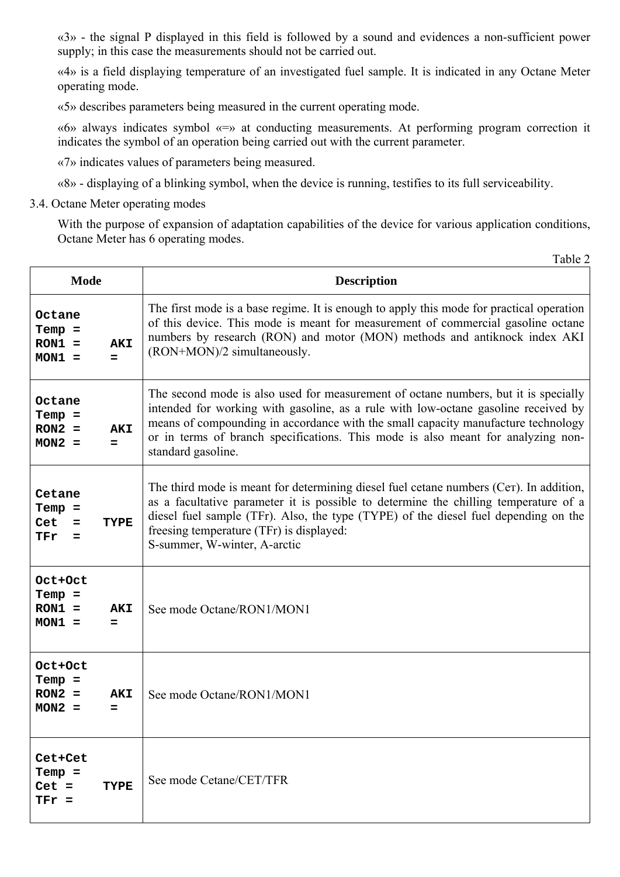«3» - the signal P displayed in this field is followed by a sound and evidences a non-sufficient power supply; in this case the measurements should not be carried out.

«4» is a field displaying temperature of an investigated fuel sample. It is indicated in any Octane Meter operating mode.

«5» describes parameters being measured in the current operating mode.

«6» always indicates symbol «=» at conducting measurements. At performing program correction it indicates the symbol of an operation being carried out with the current parameter.

«7» indicates values of parameters being measured.

«8» - displaying of a blinking symbol, when the device is running, testifies to its full serviceability.

3.4. Octane Meter operating modes

With the purpose of expansion of adaptation capabilities of the device for various application conditions, Octane Meter has 6 operating modes.

|                                              |                   | Table 2                                                                                                                                                                                                                                                                                                                                                                  |  |
|----------------------------------------------|-------------------|--------------------------------------------------------------------------------------------------------------------------------------------------------------------------------------------------------------------------------------------------------------------------------------------------------------------------------------------------------------------------|--|
| <b>Mode</b>                                  |                   | <b>Description</b>                                                                                                                                                                                                                                                                                                                                                       |  |
| Octane<br>$Temp =$<br>$RON1 =$<br>$MON1 =$   | <b>AKI</b><br>$=$ | The first mode is a base regime. It is enough to apply this mode for practical operation<br>of this device. This mode is meant for measurement of commercial gasoline octane<br>numbers by research (RON) and motor (MON) methods and antiknock index AKI<br>(RON+MON)/2 simultaneously.                                                                                 |  |
| Octane<br>$Temp =$<br>$RON2 =$<br>$MON2 =$   | <b>AKI</b><br>$=$ | The second mode is also used for measurement of octane numbers, but it is specially<br>intended for working with gasoline, as a rule with low-octane gasoline received by<br>means of compounding in accordance with the small capacity manufacture technology<br>or in terms of branch specifications. This mode is also meant for analyzing non-<br>standard gasoline. |  |
| Cetane<br>$Temp =$<br>Cet<br>$=$<br>TFr<br>= | TYPE              | The third mode is meant for determining diesel fuel cetane numbers (Cer). In addition,<br>as a facultative parameter it is possible to determine the chilling temperature of a<br>diesel fuel sample (TFr). Also, the type (TYPE) of the diesel fuel depending on the<br>free sing temperature (TFr) is displayed:<br>S-summer, W-winter, A-arctic                       |  |
| Oct+Oct<br>$Temp =$<br>$RON1 =$<br>$MON1 =$  | <b>AKI</b><br>=   | See mode Octane/RON1/MON1                                                                                                                                                                                                                                                                                                                                                |  |
| Oct+Oct<br>$Temp =$<br>$RON2 =$<br>$MON2 =$  | <b>AKI</b><br>=   | See mode Octane/RON1/MON1                                                                                                                                                                                                                                                                                                                                                |  |
| Cet+Cet<br>$Temp =$<br>$Cet =$<br>$TFr =$    | TYPE              | See mode Cetane/CET/TFR                                                                                                                                                                                                                                                                                                                                                  |  |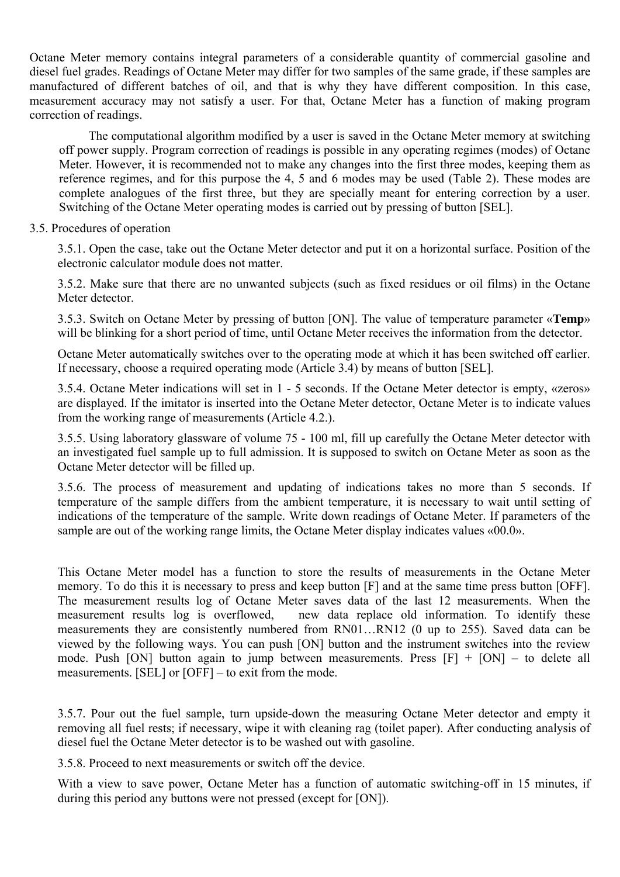Octane Meter memory contains integral parameters of a considerable quantity of commercial gasoline and diesel fuel grades. Readings of Octane Meter may differ for two samples of the same grade, if these samples are manufactured of different batches of oil, and that is why they have different composition. In this case, measurement accuracy may not satisfy a user. For that, Octane Meter has a function of making program correction of readings.

The computational algorithm modified by a user is saved in the Octane Meter memory at switching off power supply. Program correction of readings is possible in any operating regimes (modes) of Octane Meter. However, it is recommended not to make any changes into the first three modes, keeping them as reference regimes, and for this purpose the 4, 5 and 6 modes may be used (Table 2). These modes are complete analogues of the first three, but they are specially meant for entering correction by a user. Switching of the Octane Meter operating modes is carried out by pressing of button [SEL].

## 3.5. Procedures of operation

3.5.1. Open the case, take out the Octane Meter detector and put it on a horizontal surface. Position of the electronic calculator module does not matter.

3.5.2. Make sure that there are no unwanted subjects (such as fixed residues or oil films) in the Octane Meter detector.

3.5.3. Switch on Octane Meter by pressing of button [ON]. The value of temperature parameter «**Temp**» will be blinking for a short period of time, until Octane Meter receives the information from the detector.

Octane Meter automatically switches over to the operating mode at which it has been switched off earlier. If necessary, choose a required operating mode (Article 3.4) by means of button [SEL].

3.5.4. Octane Meter indications will set in 1 - 5 seconds. If the Octane Meter detector is empty, «zeros» are displayed. If the imitator is inserted into the Octane Meter detector, Octane Meter is to indicate values from the working range of measurements (Article 4.2.).

3.5.5. Using laboratory glassware of volume 75 - 100 ml, fill up carefully the Octane Meter detector with an investigated fuel sample up to full admission. It is supposed to switch on Octane Meter as soon as the Octane Meter detector will be filled up.

3.5.6. The process of measurement and updating of indications takes no more than 5 seconds. If temperature of the sample differs from the ambient temperature, it is necessary to wait until setting of indications of the temperature of the sample. Write down readings of Octane Meter. If parameters of the sample are out of the working range limits, the Octane Meter display indicates values «00.0».

This Octane Meter model has a function to store the results of measurements in the Octane Meter memory. To do this it is necessary to press and keep button [F] and at the same time press button [OFF]. The measurement results log of Octane Meter saves data of the last 12 measurements. When the measurement results log is overflowed, new data replace old information. To identify these measurements they are consistently numbered from RN01…RN12 (0 up to 255). Saved data can be viewed by the following ways. You can push [ON] button and the instrument switches into the review mode. Push [ON] button again to jump between measurements. Press  $[F] + [ON] -$  to delete all measurements. [SEL] or [OFF] – to exit from the mode.

3.5.7. Pour out the fuel sample, turn upside-down the measuring Octane Meter detector and empty it removing all fuel rests; if necessary, wipe it with cleaning rag (toilet paper). After conducting analysis of diesel fuel the Octane Meter detector is to be washed out with gasoline.

3.5.8. Proceed to next measurements or switch off the device.

With a view to save power, Octane Meter has a function of automatic switching-off in 15 minutes, if during this period any buttons were not pressed (except for [ON]).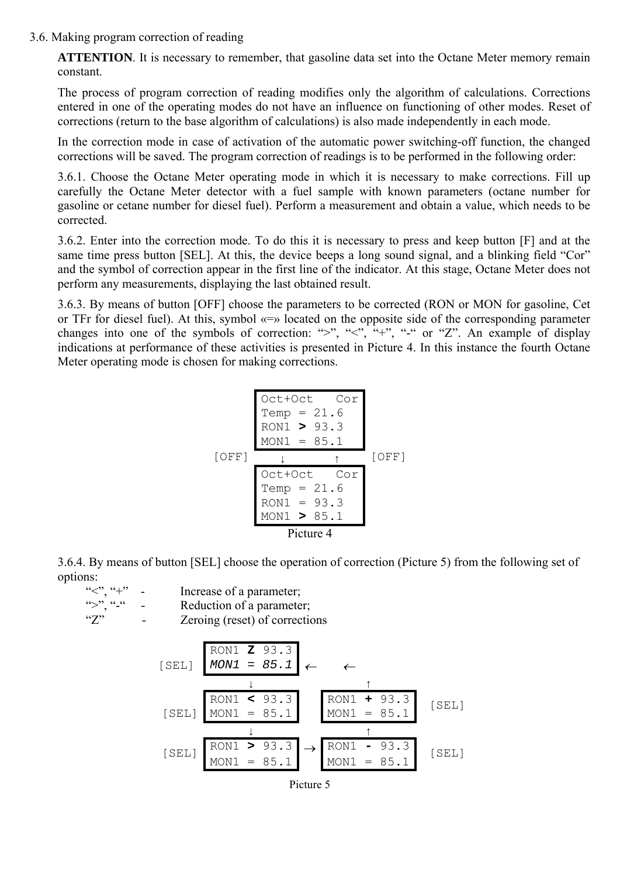3.6. Making program correction of reading

**ATTENTION**. It is necessary to remember, that gasoline data set into the Octane Meter memory remain constant.

The process of program correction of reading modifies only the algorithm of calculations. Corrections entered in one of the operating modes do not have an influence on functioning of other modes. Reset of corrections (return to the base algorithm of calculations) is also made independently in each mode.

In the correction mode in case of activation of the automatic power switching-off function, the changed corrections will be saved. The program correction of readings is to be performed in the following order:

3.6.1. Choose the Octane Meter operating mode in which it is necessary to make corrections. Fill up carefully the Octane Meter detector with a fuel sample with known parameters (octane number for gasoline or cetane number for diesel fuel). Perform a measurement and obtain a value, which needs to be corrected.

3.6.2. Enter into the correction mode. To do this it is necessary to press and keep button [F] and at the same time press button [SEL]. At this, the device beeps a long sound signal, and a blinking field "Cor" and the symbol of correction appear in the first line of the indicator. At this stage, Octane Meter does not perform any measurements, displaying the last obtained result.

3.6.3. By means of button [OFF] choose the parameters to be corrected (RON or MON for gasoline, Cet or TFr for diesel fuel). At this, symbol «=» located on the opposite side of the corresponding parameter changes into one of the symbols of correction: ">", " $\leq$ ", "+", "-" or "Z". An example of display indications at performance of these activities is presented in Picture 4. In this instance the fourth Octane Meter operating mode is chosen for making corrections.

Oct+Oct Cor Temp = 21.6 RON1 **>** 93.3 MON1 = 85.1 ↓ ↑ Oct+Oct Cor Temp = 21.6 RON1 = 93.3 [OFF] MON1 **>** 85.1 [OFF] Picture 4

3.6.4. By means of button [SEL] choose the operation of correction (Picture 5) from the following set of options:<br> $C_{\leq 2}$ ,  $C_{\leq 1}$ ,

" $\leq$ ", "+" - Increase of a parameter;<br>" $\geq$ " "-" - Reduction of a parameter - Reduction of a parameter; "Z" - Zeroing (reset) of corrections RON1 **Z** 93.3  $[SEL]$  *MON1* = 85.1 ← ↓ ↑ RON1 **<** 93.3 RON1 **+** 93.3  $[SEL]$  MON1 = 85.1 MON1 = 85.1 [SEL] ↓ ↑  $[SEL]$   $\begin{array}{|l|l|l|l|l|} \hline \text{RON1} > 93.3 &\rightarrow & \text{RON1 - } 93.3 &\text{S.1} \ \hline \text{MON1 = } 85.1 & \text{MON1 = } 85.1 & \end{array}$ 

| 'icture |  |
|---------|--|
|---------|--|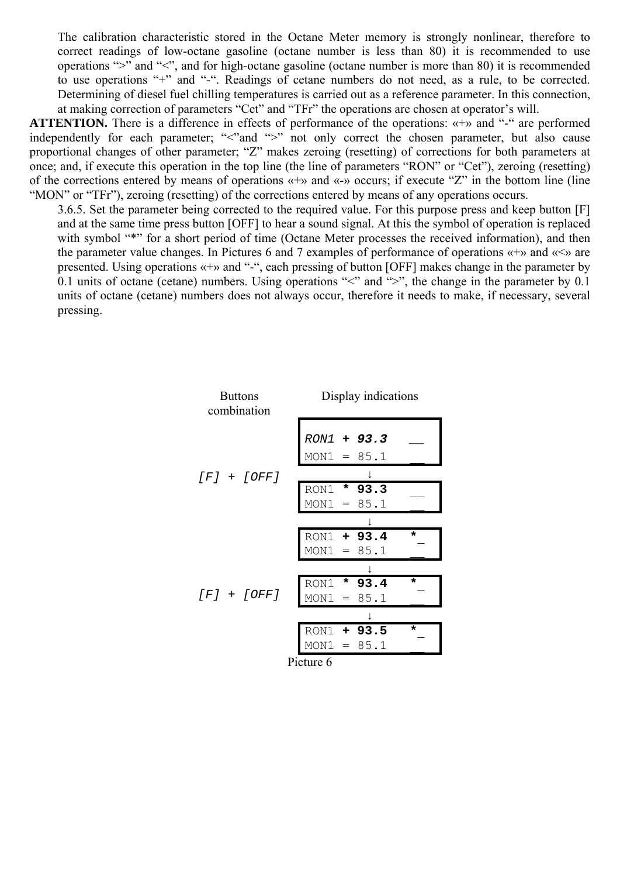The calibration characteristic stored in the Octane Meter memory is strongly nonlinear, therefore to correct readings of low-octane gasoline (octane number is less than 80) it is recommended to use operations ">" and "<", and for high-octane gasoline (octane number is more than 80) it is recommended to use operations "+" and "-". Readings of cetane numbers do not need, as a rule, to be corrected. Determining of diesel fuel chilling temperatures is carried out as a reference parameter. In this connection, at making correction of parameters "Cet" and "TFr" the operations are chosen at operator's will.

**ATTENTION.** There is a difference in effects of performance of the operations: «+» and "-" are performed independently for each parameter; "<"and ">" not only correct the chosen parameter, but also cause proportional changes of other parameter; "Z" makes zeroing (resetting) of corrections for both parameters at once; and, if execute this operation in the top line (the line of parameters "RON" or "Cet"), zeroing (resetting) of the corrections entered by means of operations «+» and «-» occurs; if execute "Z" in the bottom line (line "MON" or "TFr"), zeroing (resetting) of the corrections entered by means of any operations occurs.

3.6.5. Set the parameter being corrected to the required value. For this purpose press and keep button [F] and at the same time press button [OFF] to hear a sound signal. At this the symbol of operation is replaced with symbol "\*" for a short period of time (Octane Meter processes the received information), and then the parameter value changes. In Pictures 6 and 7 examples of performance of operations  $\langle \cdot | \cdot \rangle$  and  $\langle \cdot | \cdot \rangle$  are presented. Using operations «+» and "-", each pressing of button [OFF] makes change in the parameter by 0.1 units of octane (cetane) numbers. Using operations " $\lt$ " and " $\gt$ ", the change in the parameter by 0.1 units of octane (cetane) numbers does not always occur, therefore it needs to make, if necessary, several pressing.

| <b>Buttons</b><br>combination | Display indications                     |
|-------------------------------|-----------------------------------------|
|                               | RON1 + 93.3<br>$MON1 = 85.1$            |
| $[F] + [OFF]$                 |                                         |
|                               | RON1 * 93.3<br>$MON1 = 85.1$            |
|                               |                                         |
|                               | RON1 + 93.4<br>$\star$<br>$MON1 = 85.1$ |
|                               |                                         |
| $[ F ] + [OFF ]$              | RON1 * 93.4<br>*<br>MON1<br>$= 85.1$    |
|                               |                                         |
|                               | RON1 + 93.5<br>$\star$<br>$MON1 = 85.1$ |
|                               | Picture 6                               |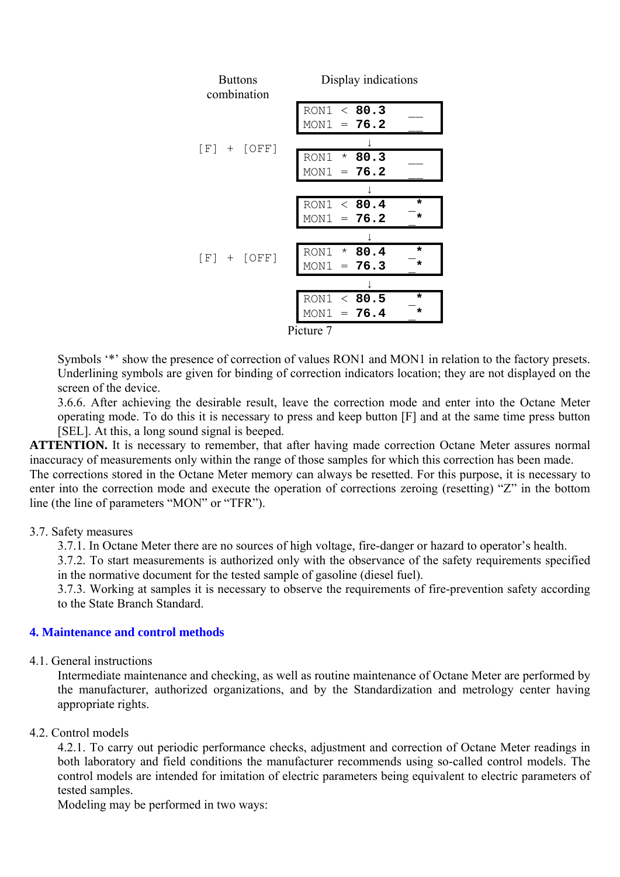| <b>Buttons</b><br>combination |  |                 | Display indications          |
|-------------------------------|--|-----------------|------------------------------|
|                               |  |                 | RON1 < 80.3<br>$MON1 = 76.2$ |
|                               |  | $[F] + [OFF]$   |                              |
|                               |  |                 | RON1 * 80.3                  |
|                               |  |                 | $MON1 = 76.2$                |
|                               |  |                 |                              |
|                               |  |                 | RON1 < 80.4<br>*             |
|                               |  |                 | $MON1 = 76.2$<br>$\star$     |
|                               |  |                 |                              |
|                               |  | $[F]$ + $[OFF]$ | RON1 * 80.4<br>$\star$       |
|                               |  |                 | $MON1 = 76.3$                |
|                               |  |                 |                              |
|                               |  |                 | RON1 < 80.5<br>$\star$       |
|                               |  |                 | $MON1 = 76.4$<br>$\star$     |
|                               |  |                 | Picture 7                    |

Symbols '\*' show the presence of correction of values RON1 and MON1 in relation to the factory presets. Underlining symbols are given for binding of correction indicators location; they are not displayed on the screen of the device.

3.6.6. After achieving the desirable result, leave the correction mode and enter into the Octane Meter operating mode. To do this it is necessary to press and keep button [F] and at the same time press button [SEL]. At this, a long sound signal is beeped.

**ATTENTION.** It is necessary to remember, that after having made correction Octane Meter assures normal inaccuracy of measurements only within the range of those samples for which this correction has been made. The corrections stored in the Octane Meter memory can always be resetted. For this purpose, it is necessary to enter into the correction mode and execute the operation of corrections zeroing (resetting) "Z" in the bottom line (the line of parameters "MON" or "TFR").

## 3.7. Safety measures

3.7.1. In Octane Meter there are no sources of high voltage, fire-danger or hazard to operator's health.

3.7.2. To start measurements is authorized only with the observance of the safety requirements specified in the normative document for the tested sample of gasoline (diesel fuel).

3.7.3. Working at samples it is necessary to observe the requirements of fire-prevention safety according to the State Branch Standard.

#### **4. Maintenance and control methods**

## 4.1. General instructions

Intermediate maintenance and checking, as well as routine maintenance of Octane Meter are performed by the manufacturer, authorized organizations, and by the Standardization and metrology center having appropriate rights.

## 4.2. Control models

4.2.1. To carry out periodic performance checks, adjustment and correction of Octane Meter readings in both laboratory and field conditions the manufacturer recommends using so-called control models. The control models are intended for imitation of electric parameters being equivalent to electric parameters of tested samples.

Modeling may be performed in two ways: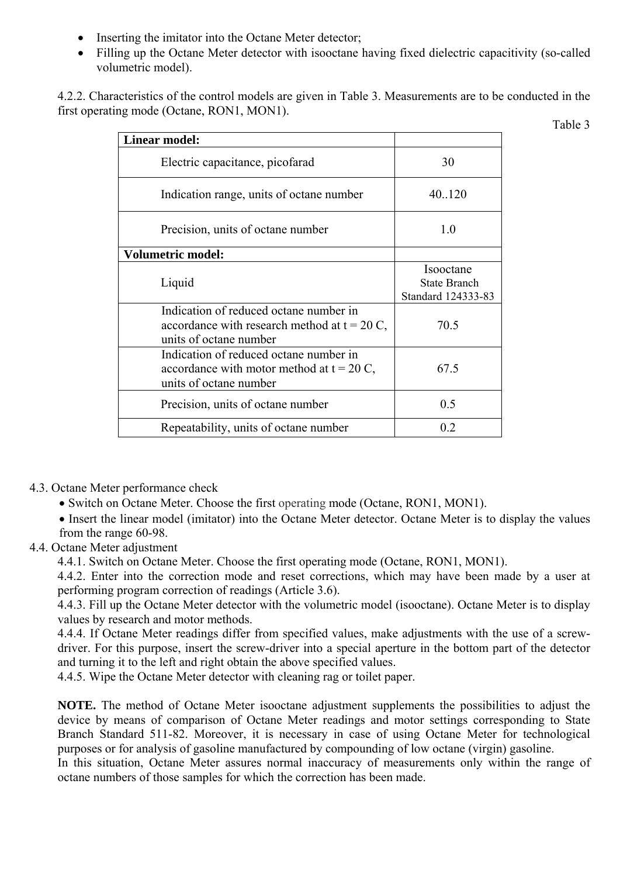- Inserting the imitator into the Octane Meter detector;
- Filling up the Octane Meter detector with isooctane having fixed dielectric capacitivity (so-called volumetric model).

4.2.2. Characteristics of the control models are given in Table 3. Measurements are to be conducted in the first operating mode (Octane, RON1, MON1).

Table 3

| <b>Linear model:</b>                                                                                               |                                                        |
|--------------------------------------------------------------------------------------------------------------------|--------------------------------------------------------|
| Electric capacitance, picofarad                                                                                    | 30                                                     |
| Indication range, units of octane number                                                                           | 40.120                                                 |
| Precision, units of octane number                                                                                  | 10                                                     |
| <b>Volumetric model:</b>                                                                                           |                                                        |
| Liquid                                                                                                             | Isooctane<br><b>State Branch</b><br>Standard 124333-83 |
| Indication of reduced octane number in<br>accordance with research method at $t = 20$ C,<br>units of octane number | 70.5                                                   |
| Indication of reduced octane number in<br>accordance with motor method at $t = 20$ C,<br>units of octane number    | 67.5                                                   |
| Precision, units of octane number                                                                                  | 0.5                                                    |
| Repeatability, units of octane number                                                                              | 0.2                                                    |

- 4.3. Octane Meter performance check
	- Switch on Octane Meter. Choose the first operating mode (Octane, RON1, MON1).
	- Insert the linear model (imitator) into the Octane Meter detector. Octane Meter is to display the values from the range 60-98.
- 4.4. Octane Meter adjustment
	- 4.4.1. Switch on Octane Meter. Choose the first operating mode (Octane, RON1, MON1).
	- 4.4.2. Enter into the correction mode and reset corrections, which may have been made by a user at performing program correction of readings (Article 3.6).

4.4.3. Fill up the Octane Meter detector with the volumetric model (isooctane). Octane Meter is to display values by research and motor methods.

4.4.4. If Octane Meter readings differ from specified values, make adjustments with the use of a screwdriver. For this purpose, insert the screw-driver into a special aperture in the bottom part of the detector and turning it to the left and right obtain the above specified values.

4.4.5. Wipe the Octane Meter detector with cleaning rag or toilet paper.

**NOTE.** The method of Octane Meter isooctane adjustment supplements the possibilities to adjust the device by means of comparison of Octane Meter readings and motor settings corresponding to State Branch Standard 511-82. Moreover, it is necessary in case of using Octane Meter for technological purposes or for analysis of gasoline manufactured by compounding of low octane (virgin) gasoline.

In this situation, Octane Meter assures normal inaccuracy of measurements only within the range of octane numbers of those samples for which the correction has been made.